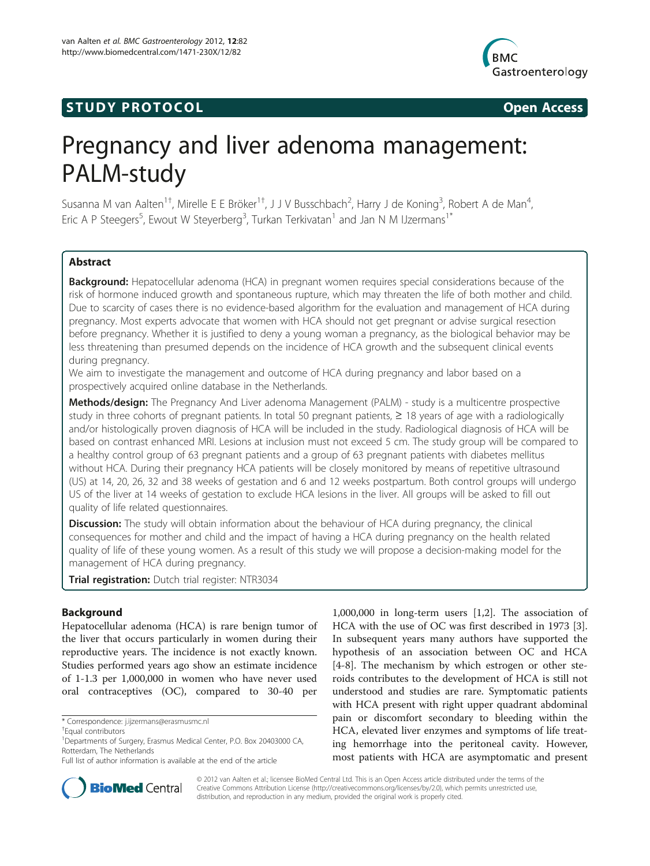# **STUDY PROTOCOL CONSUMING THE CONSUMING OPEN ACCESS**



# Pregnancy and liver adenoma management: PALM-study

Susanna M van Aalten<sup>1†</sup>, Mirelle E E Bröker<sup>1†</sup>, J J V Busschbach<sup>2</sup>, Harry J de Koning<sup>3</sup>, Robert A de Man<sup>4</sup> , Eric A P Steegers<sup>5</sup>, Ewout W Steyerberg<sup>3</sup>, Turkan Terkivatan<sup>1</sup> and Jan N M IJzermans<sup>1\*</sup>

# **Abstract**

**Background:** Hepatocellular adenoma (HCA) in pregnant women requires special considerations because of the risk of hormone induced growth and spontaneous rupture, which may threaten the life of both mother and child. Due to scarcity of cases there is no evidence-based algorithm for the evaluation and management of HCA during pregnancy. Most experts advocate that women with HCA should not get pregnant or advise surgical resection before pregnancy. Whether it is justified to deny a young woman a pregnancy, as the biological behavior may be less threatening than presumed depends on the incidence of HCA growth and the subsequent clinical events during pregnancy.

We aim to investigate the management and outcome of HCA during pregnancy and labor based on a prospectively acquired online database in the Netherlands.

Methods/design: The Pregnancy And Liver adenoma Management (PALM) - study is a multicentre prospective study in three cohorts of pregnant patients. In total 50 pregnant patients, ≥ 18 years of age with a radiologically and/or histologically proven diagnosis of HCA will be included in the study. Radiological diagnosis of HCA will be based on contrast enhanced MRI. Lesions at inclusion must not exceed 5 cm. The study group will be compared to a healthy control group of 63 pregnant patients and a group of 63 pregnant patients with diabetes mellitus without HCA. During their pregnancy HCA patients will be closely monitored by means of repetitive ultrasound (US) at 14, 20, 26, 32 and 38 weeks of gestation and 6 and 12 weeks postpartum. Both control groups will undergo US of the liver at 14 weeks of gestation to exclude HCA lesions in the liver. All groups will be asked to fill out quality of life related questionnaires.

**Discussion:** The study will obtain information about the behaviour of HCA during pregnancy, the clinical consequences for mother and child and the impact of having a HCA during pregnancy on the health related quality of life of these young women. As a result of this study we will propose a decision-making model for the management of HCA during pregnancy.

Trial registration: Dutch trial register: NTR3034

# Background

Hepatocellular adenoma (HCA) is rare benign tumor of the liver that occurs particularly in women during their reproductive years. The incidence is not exactly known. Studies performed years ago show an estimate incidence of 1-1.3 per 1,000,000 in women who have never used oral contraceptives (OC), compared to 30-40 per

1,000,000 in long-term users [[1,2\]](#page-5-0). The association of HCA with the use of OC was first described in 1973 [\[3](#page-5-0)]. In subsequent years many authors have supported the hypothesis of an association between OC and HCA [[4-8](#page-5-0)]. The mechanism by which estrogen or other steroids contributes to the development of HCA is still not understood and studies are rare. Symptomatic patients with HCA present with right upper quadrant abdominal pain or discomfort secondary to bleeding within the HCA, elevated liver enzymes and symptoms of life treating hemorrhage into the peritoneal cavity. However, most patients with HCA are asymptomatic and present



© 2012 van Aalten et al.; licensee BioMed Central Ltd. This is an Open Access article distributed under the terms of the Creative Commons Attribution License (<http://creativecommons.org/licenses/by/2.0>), which permits unrestricted use, distribution, and reproduction in any medium, provided the original work is properly cited.

<sup>\*</sup> Correspondence: [j.ijzermans@erasmusmc.nl](mailto:j.ijzermans@erasmusmc.nl) †

Equal contributors

<sup>&</sup>lt;sup>1</sup>Departments of Surgery, Erasmus Medical Center, P.O. Box 20403000 CA, Rotterdam, The Netherlands

Full list of author information is available at the end of the article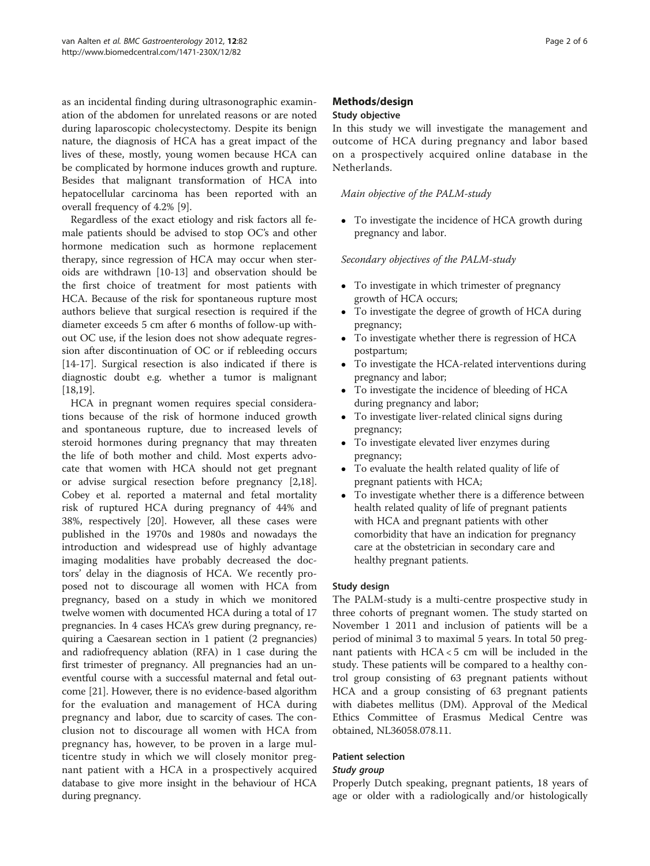as an incidental finding during ultrasonographic examination of the abdomen for unrelated reasons or are noted during laparoscopic cholecystectomy. Despite its benign nature, the diagnosis of HCA has a great impact of the lives of these, mostly, young women because HCA can be complicated by hormone induces growth and rupture. Besides that malignant transformation of HCA into hepatocellular carcinoma has been reported with an overall frequency of 4.2% [[9\]](#page-5-0).

Regardless of the exact etiology and risk factors all female patients should be advised to stop OC's and other hormone medication such as hormone replacement therapy, since regression of HCA may occur when steroids are withdrawn [\[10](#page-5-0)-[13\]](#page-5-0) and observation should be the first choice of treatment for most patients with HCA. Because of the risk for spontaneous rupture most authors believe that surgical resection is required if the diameter exceeds 5 cm after 6 months of follow-up without OC use, if the lesion does not show adequate regression after discontinuation of OC or if rebleeding occurs [[14-17](#page-5-0)]. Surgical resection is also indicated if there is diagnostic doubt e.g. whether a tumor is malignant [[18,19\]](#page-5-0).

HCA in pregnant women requires special considerations because of the risk of hormone induced growth and spontaneous rupture, due to increased levels of steroid hormones during pregnancy that may threaten the life of both mother and child. Most experts advocate that women with HCA should not get pregnant or advise surgical resection before pregnancy [\[2,18](#page-5-0)]. Cobey et al. reported a maternal and fetal mortality risk of ruptured HCA during pregnancy of 44% and 38%, respectively [[20\]](#page-5-0). However, all these cases were published in the 1970s and 1980s and nowadays the introduction and widespread use of highly advantage imaging modalities have probably decreased the doctors' delay in the diagnosis of HCA. We recently proposed not to discourage all women with HCA from pregnancy, based on a study in which we monitored twelve women with documented HCA during a total of 17 pregnancies. In 4 cases HCA's grew during pregnancy, requiring a Caesarean section in 1 patient (2 pregnancies) and radiofrequency ablation (RFA) in 1 case during the first trimester of pregnancy. All pregnancies had an uneventful course with a successful maternal and fetal outcome [\[21](#page-5-0)]. However, there is no evidence-based algorithm for the evaluation and management of HCA during pregnancy and labor, due to scarcity of cases. The conclusion not to discourage all women with HCA from pregnancy has, however, to be proven in a large multicentre study in which we will closely monitor pregnant patient with a HCA in a prospectively acquired database to give more insight in the behaviour of HCA during pregnancy.

# Methods/design

# Study objective

In this study we will investigate the management and outcome of HCA during pregnancy and labor based on a prospectively acquired online database in the Netherlands.

# Main objective of the PALM-study

 To investigate the incidence of HCA growth during pregnancy and labor.

# Secondary objectives of the PALM-study

- To investigate in which trimester of pregnancy growth of HCA occurs;
- To investigate the degree of growth of HCA during pregnancy;
- To investigate whether there is regression of HCA postpartum;
- To investigate the HCA-related interventions during pregnancy and labor;
- To investigate the incidence of bleeding of HCA during pregnancy and labor;
- To investigate liver-related clinical signs during pregnancy;
- To investigate elevated liver enzymes during pregnancy;
- To evaluate the health related quality of life of pregnant patients with HCA;
- To investigate whether there is a difference between health related quality of life of pregnant patients with HCA and pregnant patients with other comorbidity that have an indication for pregnancy care at the obstetrician in secondary care and healthy pregnant patients.

# Study design

The PALM-study is a multi-centre prospective study in three cohorts of pregnant women. The study started on November 1 2011 and inclusion of patients will be a period of minimal 3 to maximal 5 years. In total 50 pregnant patients with  $HCA < 5$  cm will be included in the study. These patients will be compared to a healthy control group consisting of 63 pregnant patients without HCA and a group consisting of 63 pregnant patients with diabetes mellitus (DM). Approval of the Medical Ethics Committee of Erasmus Medical Centre was obtained, NL36058.078.11.

# Patient selection

# Study group

Properly Dutch speaking, pregnant patients, 18 years of age or older with a radiologically and/or histologically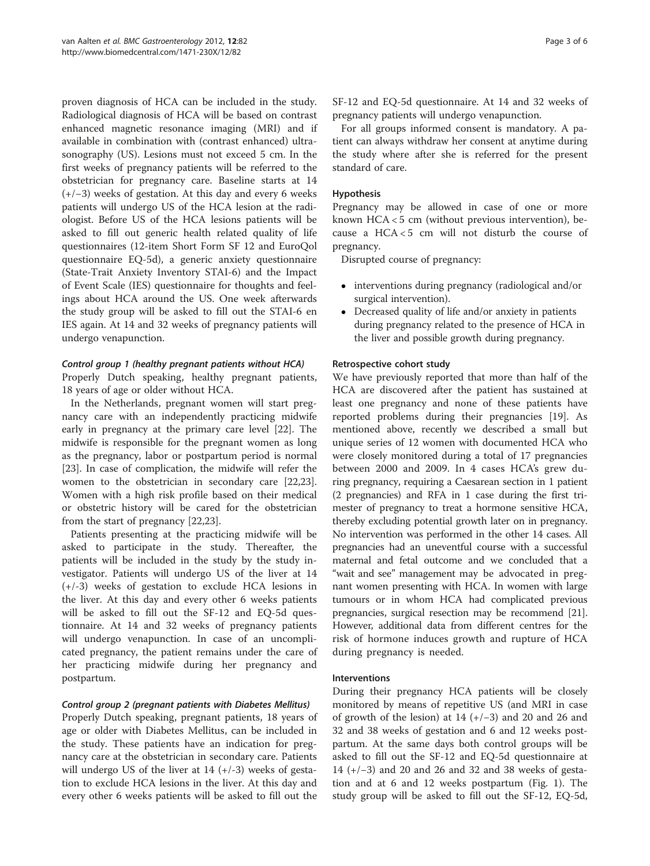proven diagnosis of HCA can be included in the study. Radiological diagnosis of HCA will be based on contrast enhanced magnetic resonance imaging (MRI) and if available in combination with (contrast enhanced) ultrasonography (US). Lesions must not exceed 5 cm. In the first weeks of pregnancy patients will be referred to the obstetrician for pregnancy care. Baseline starts at 14 (+/−3) weeks of gestation. At this day and every 6 weeks patients will undergo US of the HCA lesion at the radiologist. Before US of the HCA lesions patients will be asked to fill out generic health related quality of life questionnaires (12-item Short Form SF 12 and EuroQol questionnaire EQ-5d), a generic anxiety questionnaire (State-Trait Anxiety Inventory STAI-6) and the Impact of Event Scale (IES) questionnaire for thoughts and feelings about HCA around the US. One week afterwards the study group will be asked to fill out the STAI-6 en IES again. At 14 and 32 weeks of pregnancy patients will undergo venapunction.

# Control group 1 (healthy pregnant patients without HCA)

Properly Dutch speaking, healthy pregnant patients, 18 years of age or older without HCA.

In the Netherlands, pregnant women will start pregnancy care with an independently practicing midwife early in pregnancy at the primary care level [[22](#page-5-0)]. The midwife is responsible for the pregnant women as long as the pregnancy, labor or postpartum period is normal [[23\]](#page-5-0). In case of complication, the midwife will refer the women to the obstetrician in secondary care [\[22,23](#page-5-0)]. Women with a high risk profile based on their medical or obstetric history will be cared for the obstetrician from the start of pregnancy [\[22,23](#page-5-0)].

Patients presenting at the practicing midwife will be asked to participate in the study. Thereafter, the patients will be included in the study by the study investigator. Patients will undergo US of the liver at 14 (+/-3) weeks of gestation to exclude HCA lesions in the liver. At this day and every other 6 weeks patients will be asked to fill out the SF-12 and EQ-5d questionnaire. At 14 and 32 weeks of pregnancy patients will undergo venapunction. In case of an uncomplicated pregnancy, the patient remains under the care of her practicing midwife during her pregnancy and postpartum.

# Control group 2 (pregnant patients with Diabetes Mellitus)

Properly Dutch speaking, pregnant patients, 18 years of age or older with Diabetes Mellitus, can be included in the study. These patients have an indication for pregnancy care at the obstetrician in secondary care. Patients will undergo US of the liver at  $14 (+/-3)$  weeks of gestation to exclude HCA lesions in the liver. At this day and every other 6 weeks patients will be asked to fill out the

SF-12 and EQ-5d questionnaire. At 14 and 32 weeks of pregnancy patients will undergo venapunction.

For all groups informed consent is mandatory. A patient can always withdraw her consent at anytime during the study where after she is referred for the present standard of care.

# Hypothesis

Pregnancy may be allowed in case of one or more known HCA < 5 cm (without previous intervention), because a HCA < 5 cm will not disturb the course of pregnancy.

Disrupted course of pregnancy:

- interventions during pregnancy (radiological and/or surgical intervention).
- Decreased quality of life and/or anxiety in patients during pregnancy related to the presence of HCA in the liver and possible growth during pregnancy.

# Retrospective cohort study

We have previously reported that more than half of the HCA are discovered after the patient has sustained at least one pregnancy and none of these patients have reported problems during their pregnancies [\[19](#page-5-0)]. As mentioned above, recently we described a small but unique series of 12 women with documented HCA who were closely monitored during a total of 17 pregnancies between 2000 and 2009. In 4 cases HCA's grew during pregnancy, requiring a Caesarean section in 1 patient (2 pregnancies) and RFA in 1 case during the first trimester of pregnancy to treat a hormone sensitive HCA, thereby excluding potential growth later on in pregnancy. No intervention was performed in the other 14 cases. All pregnancies had an uneventful course with a successful maternal and fetal outcome and we concluded that a "wait and see" management may be advocated in pregnant women presenting with HCA. In women with large tumours or in whom HCA had complicated previous pregnancies, surgical resection may be recommend [[21](#page-5-0)]. However, additional data from different centres for the risk of hormone induces growth and rupture of HCA during pregnancy is needed.

# Interventions

During their pregnancy HCA patients will be closely monitored by means of repetitive US (and MRI in case of growth of the lesion) at 14 (+/−3) and 20 and 26 and 32 and 38 weeks of gestation and 6 and 12 weeks postpartum. At the same days both control groups will be asked to fill out the SF-12 and EQ-5d questionnaire at 14 (+/−3) and 20 and 26 and 32 and 38 weeks of gestation and at 6 and 12 weeks postpartum (Fig. 1). The study group will be asked to fill out the SF-12, EQ-5d,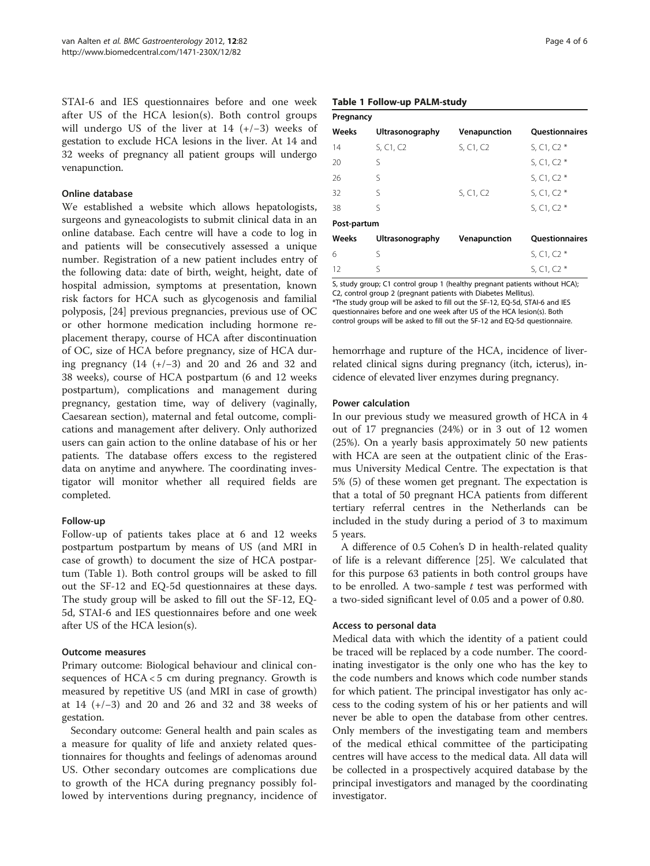STAI-6 and IES questionnaires before and one week after US of the HCA lesion(s). Both control groups will undergo US of the liver at 14 (+/−3) weeks of gestation to exclude HCA lesions in the liver. At 14 and 32 weeks of pregnancy all patient groups will undergo venapunction.

## Online database

We established a website which allows hepatologists, surgeons and gyneacologists to submit clinical data in an online database. Each centre will have a code to log in and patients will be consecutively assessed a unique number. Registration of a new patient includes entry of the following data: date of birth, weight, height, date of hospital admission, symptoms at presentation, known risk factors for HCA such as glycogenosis and familial polyposis, [\[24\]](#page-5-0) previous pregnancies, previous use of OC or other hormone medication including hormone replacement therapy, course of HCA after discontinuation of OC, size of HCA before pregnancy, size of HCA during pregnancy  $(14 (+/-3)$  and 20 and 26 and 32 and 38 weeks), course of HCA postpartum (6 and 12 weeks postpartum), complications and management during pregnancy, gestation time, way of delivery (vaginally, Caesarean section), maternal and fetal outcome, complications and management after delivery. Only authorized users can gain action to the online database of his or her patients. The database offers excess to the registered data on anytime and anywhere. The coordinating investigator will monitor whether all required fields are completed.

#### Follow-up

Follow-up of patients takes place at 6 and 12 weeks postpartum postpartum by means of US (and MRI in case of growth) to document the size of HCA postpartum (Table 1). Both control groups will be asked to fill out the SF-12 and EQ-5d questionnaires at these days. The study group will be asked to fill out the SF-12, EQ-5d, STAI-6 and IES questionnaires before and one week after US of the HCA lesion(s).

#### Outcome measures

Primary outcome: Biological behaviour and clinical consequences of HCA < 5 cm during pregnancy. Growth is measured by repetitive US (and MRI in case of growth) at 14 (+/−3) and 20 and 26 and 32 and 38 weeks of gestation.

Secondary outcome: General health and pain scales as a measure for quality of life and anxiety related questionnaires for thoughts and feelings of adenomas around US. Other secondary outcomes are complications due to growth of the HCA during pregnancy possibly followed by interventions during pregnancy, incidence of

#### Table 1 Follow-up PALM-study

| Pregnancy |  |
|-----------|--|
|           |  |

| Weeks       | Ultrasonography | Venapunction | Questionnaires |
|-------------|-----------------|--------------|----------------|
| 14          | S, C1, C2       | S, C1, C2    | S, C1, C2 *    |
| 20          | ς               |              | S, C1, C2 *    |
| 26          | ς               |              | S, C1, C2 *    |
| 32          | S               | S, C1, C2    | S, C1, C2 *    |
| 38          | ς               |              | S, C1, C2 *    |
| Post-partum |                 |              |                |
| Weeks       | Ultrasonography | Venapunction | Questionnaires |
| 6           | S               |              | S, C1, C2 *    |
| 12          | ς               |              | S, C1, C2 *    |

S, study group; C1 control group 1 (healthy pregnant patients without HCA); C2, control group 2 (pregnant patients with Diabetes Mellitus). \*The study group will be asked to fill out the SF-12, EQ-5d, STAI-6 and IES questionnaires before and one week after US of the HCA lesion(s). Both control groups will be asked to fill out the SF-12 and EQ-5d questionnaire.

hemorrhage and rupture of the HCA, incidence of liverrelated clinical signs during pregnancy (itch, icterus), incidence of elevated liver enzymes during pregnancy.

#### Power calculation

In our previous study we measured growth of HCA in 4 out of 17 pregnancies (24%) or in 3 out of 12 women (25%). On a yearly basis approximately 50 new patients with HCA are seen at the outpatient clinic of the Erasmus University Medical Centre. The expectation is that 5% (5) of these women get pregnant. The expectation is that a total of 50 pregnant HCA patients from different tertiary referral centres in the Netherlands can be included in the study during a period of 3 to maximum 5 years.

A difference of 0.5 Cohen's D in health-related quality of life is a relevant difference [[25](#page-5-0)]. We calculated that for this purpose 63 patients in both control groups have to be enrolled. A two-sample  $t$  test was performed with a two-sided significant level of 0.05 and a power of 0.80.

#### Access to personal data

Medical data with which the identity of a patient could be traced will be replaced by a code number. The coordinating investigator is the only one who has the key to the code numbers and knows which code number stands for which patient. The principal investigator has only access to the coding system of his or her patients and will never be able to open the database from other centres. Only members of the investigating team and members of the medical ethical committee of the participating centres will have access to the medical data. All data will be collected in a prospectively acquired database by the principal investigators and managed by the coordinating investigator.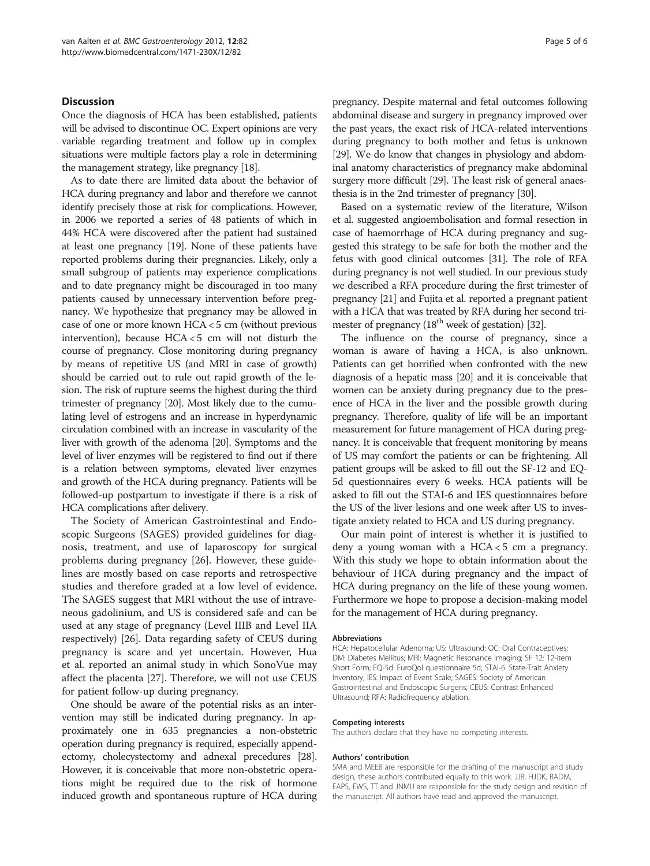## **Discussion**

Once the diagnosis of HCA has been established, patients will be advised to discontinue OC. Expert opinions are very variable regarding treatment and follow up in complex situations were multiple factors play a role in determining the management strategy, like pregnancy [[18](#page-5-0)].

As to date there are limited data about the behavior of HCA during pregnancy and labor and therefore we cannot identify precisely those at risk for complications. However, in 2006 we reported a series of 48 patients of which in 44% HCA were discovered after the patient had sustained at least one pregnancy [\[19\]](#page-5-0). None of these patients have reported problems during their pregnancies. Likely, only a small subgroup of patients may experience complications and to date pregnancy might be discouraged in too many patients caused by unnecessary intervention before pregnancy. We hypothesize that pregnancy may be allowed in case of one or more known HCA < 5 cm (without previous intervention), because  $HCA < 5$  cm will not disturb the course of pregnancy. Close monitoring during pregnancy by means of repetitive US (and MRI in case of growth) should be carried out to rule out rapid growth of the lesion. The risk of rupture seems the highest during the third trimester of pregnancy [[20](#page-5-0)]. Most likely due to the cumulating level of estrogens and an increase in hyperdynamic circulation combined with an increase in vascularity of the liver with growth of the adenoma [\[20\]](#page-5-0). Symptoms and the level of liver enzymes will be registered to find out if there is a relation between symptoms, elevated liver enzymes and growth of the HCA during pregnancy. Patients will be followed-up postpartum to investigate if there is a risk of HCA complications after delivery.

The Society of American Gastrointestinal and Endoscopic Surgeons (SAGES) provided guidelines for diagnosis, treatment, and use of laparoscopy for surgical problems during pregnancy [[26\]](#page-5-0). However, these guidelines are mostly based on case reports and retrospective studies and therefore graded at a low level of evidence. The SAGES suggest that MRI without the use of intraveneous gadolinium, and US is considered safe and can be used at any stage of pregnancy (Level IIIB and Level IIA respectively) [\[26\]](#page-5-0). Data regarding safety of CEUS during pregnancy is scare and yet uncertain. However, Hua et al. reported an animal study in which SonoVue may affect the placenta [[27\]](#page-5-0). Therefore, we will not use CEUS for patient follow-up during pregnancy.

One should be aware of the potential risks as an intervention may still be indicated during pregnancy. In approximately one in 635 pregnancies a non-obstetric operation during pregnancy is required, especially appendectomy, cholecystectomy and adnexal precedures [\[28](#page-5-0)]. However, it is conceivable that more non-obstetric operations might be required due to the risk of hormone induced growth and spontaneous rupture of HCA during pregnancy. Despite maternal and fetal outcomes following abdominal disease and surgery in pregnancy improved over the past years, the exact risk of HCA-related interventions during pregnancy to both mother and fetus is unknown [[29](#page-5-0)]. We do know that changes in physiology and abdominal anatomy characteristics of pregnancy make abdominal surgery more difficult [[29](#page-5-0)]. The least risk of general anaesthesia is in the 2nd trimester of pregnancy [\[30](#page-5-0)].

Based on a systematic review of the literature, Wilson et al. suggested angioembolisation and formal resection in case of haemorrhage of HCA during pregnancy and suggested this strategy to be safe for both the mother and the fetus with good clinical outcomes [\[31](#page-5-0)]. The role of RFA during pregnancy is not well studied. In our previous study we described a RFA procedure during the first trimester of pregnancy [\[21\]](#page-5-0) and Fujita et al. reported a pregnant patient with a HCA that was treated by RFA during her second trimester of pregnancy  $(18<sup>th</sup>$  week of gestation) [\[32](#page-5-0)].

The influence on the course of pregnancy, since a woman is aware of having a HCA, is also unknown. Patients can get horrified when confronted with the new diagnosis of a hepatic mass [\[20\]](#page-5-0) and it is conceivable that women can be anxiety during pregnancy due to the presence of HCA in the liver and the possible growth during pregnancy. Therefore, quality of life will be an important measurement for future management of HCA during pregnancy. It is conceivable that frequent monitoring by means of US may comfort the patients or can be frightening. All patient groups will be asked to fill out the SF-12 and EQ-5d questionnaires every 6 weeks. HCA patients will be asked to fill out the STAI-6 and IES questionnaires before the US of the liver lesions and one week after US to investigate anxiety related to HCA and US during pregnancy.

Our main point of interest is whether it is justified to deny a young woman with a  $HCA < 5$  cm a pregnancy. With this study we hope to obtain information about the behaviour of HCA during pregnancy and the impact of HCA during pregnancy on the life of these young women. Furthermore we hope to propose a decision-making model for the management of HCA during pregnancy.

#### Abbreviations

HCA: Hepatocellular Adenoma; US: Ultrasound; OC: Oral Contraceptives; DM: Diabetes Mellitus; MRI: Magnetic Resonance Imaging; SF 12: 12-item Short Form; EQ-5d: EuroQol questionnaire 5d; STAI-6: State-Trait Anxiety Inventory; IES: Impact of Event Scale; SAGES: Society of American Gastrointestinal and Endoscopic Surgens; CEUS: Contrast Enhanced Ultrasound; RFA: Radiofrequency ablation.

#### Competing interests

The authors declare that they have no competing interests.

#### Authors' contribution

SMA and MEEB are responsible for the drafting of the manuscript and study design, these authors contributed equally to this work. JJB, HJDK, RADM, EAPS, EWS, TT and JNMIJ are responsible for the study design and revision of the manuscript. All authors have read and approved the manuscript.